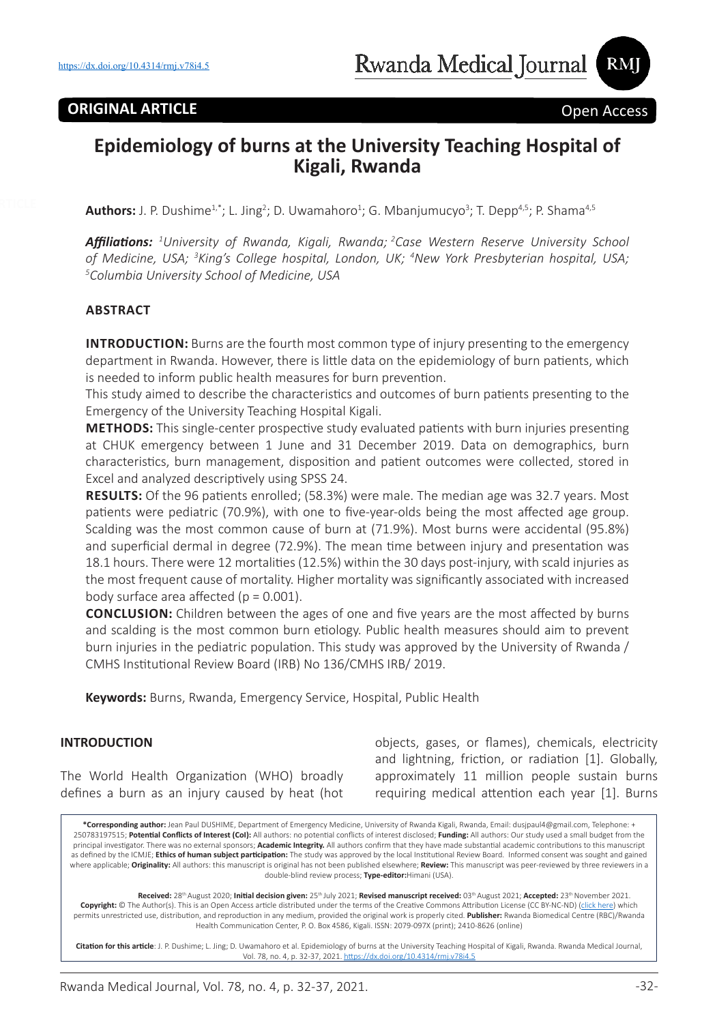# **ORIGINAL ARTICLE Open Access**

RMJ

# **Epidemiology of burns at the University Teaching Hospital of Kigali, Rwanda**

**Authors:** J. P. Dushime<sup>1,\*</sup>; L. Jing<sup>2</sup>; D. Uwamahoro<sup>1</sup>; G. Mbanjumucyo<sup>3</sup>; T. Depp<sup>4,5</sup>; P. Shama<sup>4,5</sup>

*Affiliations: <sup>1</sup> University of Rwanda, Kigali, Rwanda; 2Case Western Reserve University School*  of Medicine, USA; <sup>3</sup>King's College hospital, London, UK; <sup>4</sup>New York Presbyterian hospital, USA;<br><sup>5</sup>Columbia University School of Medicine USA *Columbia University School of Medicine, USA*

### **ABSTRACT**

**INTRODUCTION:** Burns are the fourth most common type of injury presenting to the emergency department in Rwanda. However, there is little data on the epidemiology of burn patients, which is needed to inform public health measures for burn prevention.

This study aimed to describe the characteristics and outcomes of burn patients presenting to the Emergency of the University Teaching Hospital Kigali.

**METHODS:** This single-center prospective study evaluated patients with burn injuries presenting at CHUK emergency between 1 June and 31 December 2019. Data on demographics, burn characteristics, burn management, disposition and patient outcomes were collected, stored in Excel and analyzed descriptively using SPSS 24.

**RESULTS:** Of the 96 patients enrolled; (58.3%) were male. The median age was 32.7 years. Most patients were pediatric (70.9%), with one to five-year-olds being the most affected age group. Scalding was the most common cause of burn at (71.9%). Most burns were accidental (95.8%) and superficial dermal in degree (72.9%). The mean time between injury and presentation was 18.1 hours. There were 12 mortalities (12.5%) within the 30 days post-injury, with scald injuries as the most frequent cause of mortality. Higher mortality was significantly associated with increased body surface area affected  $(p = 0.001)$ .

**CONCLUSION:** Children between the ages of one and five years are the most affected by burns and scalding is the most common burn etiology. Public health measures should aim to prevent burn injuries in the pediatric population. This study was approved by the University of Rwanda / CMHS Institutional Review Board (IRB) No 136/CMHS IRB/ 2019.

**Keywords:** Burns, Rwanda, Emergency Service, Hospital, Public Health

#### **INTRODUCTION**

The World Health Organization (WHO) broadly defines a burn as an injury caused by heat (hot objects, gases, or flames), chemicals, electricity and lightning, friction, or radiation [1]. Globally, approximately 11 million people sustain burns requiring medical attention each year [1]. Burns

**\*Corresponding author:** Jean Paul DUSHIME, Department of Emergency Medicine, University of Rwanda Kigali, Rwanda, Email: dusjpaul4@gmail.com, Telephone: + 250783197515; **Potential Conflicts of Interest (CoI):** All authors: no potential conflicts of interest disclosed; **Funding:** All authors: Our study used a small budget from the principal investigator. There was no external sponsors; **Academic Integrity.** All authors confirm that they have made substantial academic contributions to this manuscript as defined by the ICMJE; **Ethics of human subject participation:** The study was approved by the local Institutional Review Board. Informed consent was sought and gained where applicable; **Originality:** All authors: this manuscript is original has not been published elsewhere; **Review:** This manuscript was peer-reviewed by three reviewers in a double-blind review process; **Type-editor:**Himani (USA).

**Received:** 28th August 2020; **Initial decision given:** 25th July 2021; **Revised manuscript received:** 03th August 2021; **Accepted:** 23th November 2021. **Copyright:** © The Author(s). This is an Open Access article distributed under the terms of the Creative Commons Attribution License (CC BY-NC-ND) (click here) which permits unrestricted use, distribution, and reproduction in any medium, provided the original work is properly cited. **Publisher:** Rwanda Biomedical Centre (RBC)/Rwanda Health Communication Center, P. O. Box 4586, Kigali. ISSN: 2079-097X (print); 2410-8626 (online)

**Citation for this article**: J. P. Dushime; L. Jing; D. Uwamahoro et al. Epidemiology of burns at the University Teaching Hospital of Kigali, Rwanda. Rwanda Medical Journal, Vol. 78, no. 4, p. 32-37, 2021. https://dx.doi.org/10.4314/rmj.v78i4.5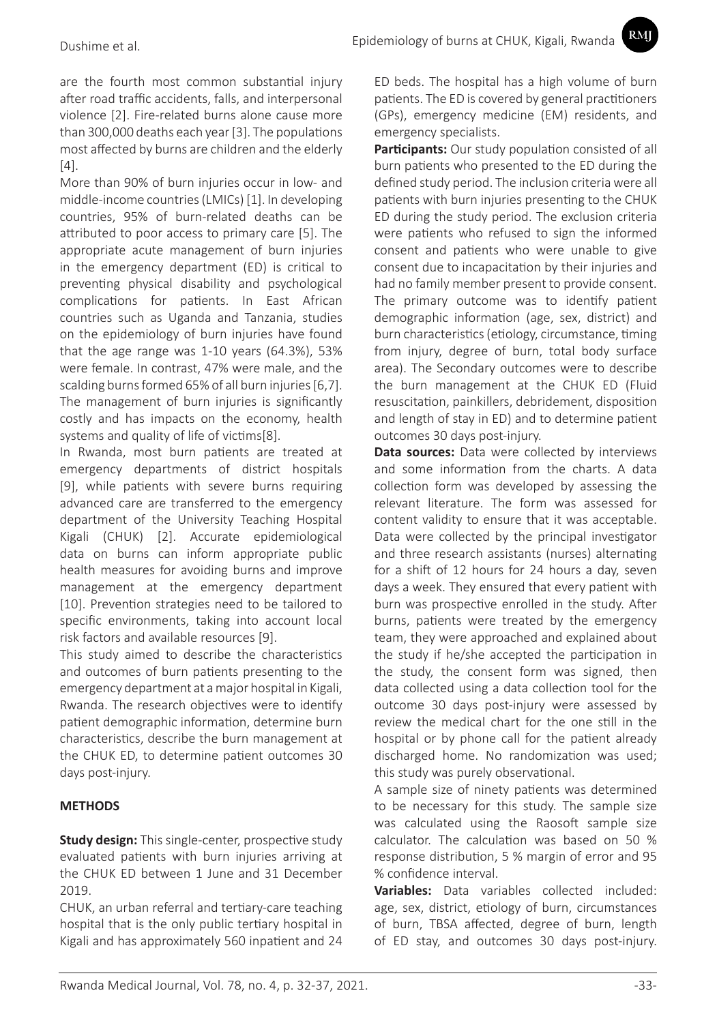are the fourth most common substantial injury after road traffic accidents, falls, and interpersonal violence [2]. Fire-related burns alone cause more than 300,000 deaths each year [3]. The populations most affected by burns are children and the elderly [4].

More than 90% of burn injuries occur in low- and middle-income countries (LMICs) [1]. In developing countries, 95% of burn-related deaths can be attributed to poor access to primary care [5]. The appropriate acute management of burn injuries in the emergency department (ED) is critical to preventing physical disability and psychological complications for patients. In East African countries such as Uganda and Tanzania, studies on the epidemiology of burn injuries have found that the age range was 1-10 years (64.3%), 53% were female. In contrast, 47% were male, and the scalding burns formed 65% of all burn injuries [6,7]. The management of burn injuries is significantly costly and has impacts on the economy, health systems and quality of life of victims[8].

In Rwanda, most burn patients are treated at emergency departments of district hospitals [9], while patients with severe burns requiring advanced care are transferred to the emergency department of the University Teaching Hospital Kigali (CHUK) [2]. Accurate epidemiological data on burns can inform appropriate public health measures for avoiding burns and improve management at the emergency department [10]. Prevention strategies need to be tailored to specific environments, taking into account local risk factors and available resources [9].

This study aimed to describe the characteristics and outcomes of burn patients presenting to the emergency department at a major hospital in Kigali, Rwanda. The research objectives were to identify patient demographic information, determine burn characteristics, describe the burn management at the CHUK ED, to determine patient outcomes 30 days post-injury.

# **METHODS**

**Study design:** This single-center, prospective study evaluated patients with burn injuries arriving at the CHUK ED between 1 June and 31 December 2019.

CHUK, an urban referral and tertiary-care teaching hospital that is the only public tertiary hospital in Kigali and has approximately 560 inpatient and 24

ED beds. The hospital has a high volume of burn patients. The ED is covered by general practitioners (GPs), emergency medicine (EM) residents, and emergency specialists.

RMI

**Participants:** Our study population consisted of all burn patients who presented to the ED during the defined study period. The inclusion criteria were all patients with burn injuries presenting to the CHUK ED during the study period. The exclusion criteria were patients who refused to sign the informed consent and patients who were unable to give consent due to incapacitation by their injuries and had no family member present to provide consent. The primary outcome was to identify patient demographic information (age, sex, district) and burn characteristics (etiology, circumstance, timing from injury, degree of burn, total body surface area). The Secondary outcomes were to describe the burn management at the CHUK ED (Fluid resuscitation, painkillers, debridement, disposition and length of stay in ED) and to determine patient outcomes 30 days post-injury.

**Data sources:** Data were collected by interviews and some information from the charts. A data collection form was developed by assessing the relevant literature. The form was assessed for content validity to ensure that it was acceptable. Data were collected by the principal investigator and three research assistants (nurses) alternating for a shift of 12 hours for 24 hours a day, seven days a week. They ensured that every patient with burn was prospective enrolled in the study. After burns, patients were treated by the emergency team, they were approached and explained about the study if he/she accepted the participation in the study, the consent form was signed, then data collected using a data collection tool for the outcome 30 days post-injury were assessed by review the medical chart for the one still in the hospital or by phone call for the patient already discharged home. No randomization was used; this study was purely observational.

A sample size of ninety patients was determined to be necessary for this study. The sample size was calculated using the Raosoft sample size calculator. The calculation was based on 50 % response distribution, 5 % margin of error and 95 % confidence interval.

**Variables:** Data variables collected included: age, sex, district, etiology of burn, circumstances of burn, TBSA affected, degree of burn, length of ED stay, and outcomes 30 days post-injury.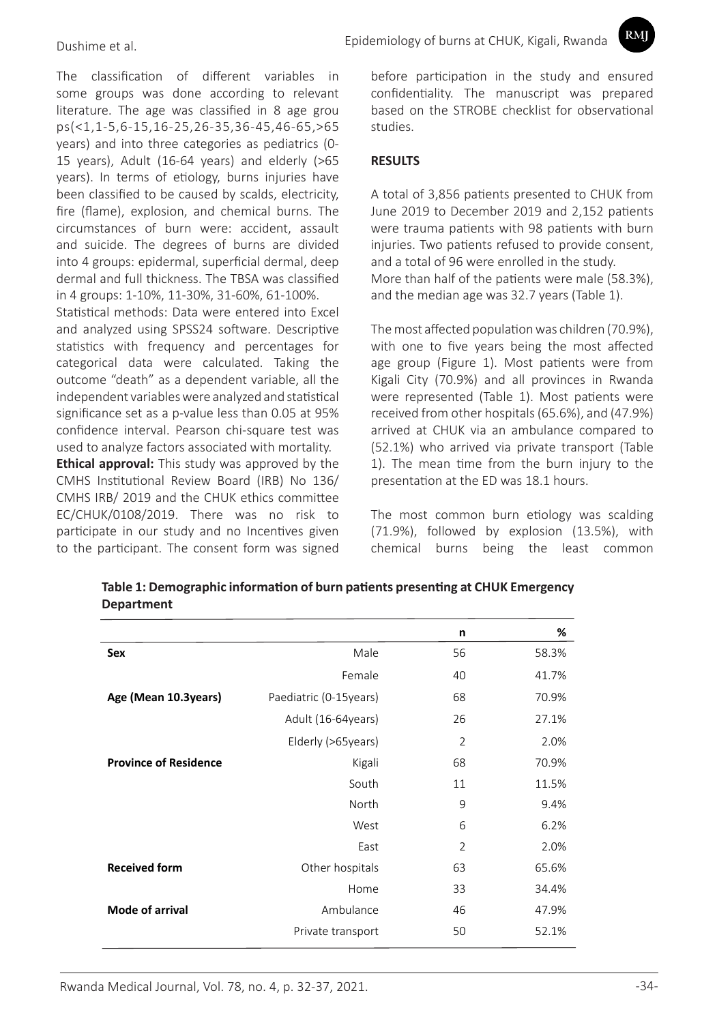The classification of different variables in some groups was done according to relevant literature. The age was classified in 8 age grou ps(<1,1-5,6-15,16-25,26-35,36-45,46-65,>65 years) and into three categories as pediatrics (0- 15 years), Adult (16-64 years) and elderly (>65 years). In terms of etiology, burns injuries have been classified to be caused by scalds, electricity, fire (flame), explosion, and chemical burns. The circumstances of burn were: accident, assault and suicide. The degrees of burns are divided into 4 groups: epidermal, superficial dermal, deep dermal and full thickness. The TBSA was classified in 4 groups: 1-10%, 11-30%, 31-60%, 61-100%.

Statistical methods: Data were entered into Excel and analyzed using SPSS24 software. Descriptive statistics with frequency and percentages for categorical data were calculated. Taking the outcome "death" as a dependent variable, all the independent variables were analyzed and statistical significance set as a p-value less than 0.05 at 95% confidence interval. Pearson chi-square test was used to analyze factors associated with mortality.

**Ethical approval:** This study was approved by the CMHS Institutional Review Board (IRB) No 136/ CMHS IRB/ 2019 and the CHUK ethics committee EC/CHUK/0108/2019. There was no risk to participate in our study and no Incentives given to the participant. The consent form was signed before participation in the study and ensured confidentiality. The manuscript was prepared based on the STROBE checklist for observational studies.

RMI

### **RESULTS**

A total of 3,856 patients presented to CHUK from June 2019 to December 2019 and 2,152 patients were trauma patients with 98 patients with burn injuries. Two patients refused to provide consent, and a total of 96 were enrolled in the study. More than half of the patients were male (58.3%), and the median age was 32.7 years (Table 1).

The most affected population was children (70.9%), with one to five years being the most affected age group (Figure 1). Most patients were from Kigali City (70.9%) and all provinces in Rwanda were represented (Table 1). Most patients were received from other hospitals (65.6%), and (47.9%) arrived at CHUK via an ambulance compared to (52.1%) who arrived via private transport (Table 1). The mean time from the burn injury to the presentation at the ED was 18.1 hours.

The most common burn etiology was scalding (71.9%), followed by explosion (13.5%), with chemical burns being the least common

|                              |                         | n              | %     |
|------------------------------|-------------------------|----------------|-------|
| Sex                          | Male                    | 56             | 58.3% |
|                              | Female                  | 40             | 41.7% |
| Age (Mean 10.3years)         | Paediatric (0-15 years) | 68             | 70.9% |
|                              | Adult (16-64years)      | 26             | 27.1% |
|                              | Elderly (>65years)      | $\overline{2}$ | 2.0%  |
| <b>Province of Residence</b> | Kigali                  | 68             | 70.9% |
|                              | South                   | 11             | 11.5% |
|                              | North                   | 9              | 9.4%  |
|                              | West                    | 6              | 6.2%  |
|                              | East                    | $\overline{2}$ | 2.0%  |
| <b>Received form</b>         | Other hospitals         | 63             | 65.6% |
|                              | Home                    | 33             | 34.4% |
| Mode of arrival              | Ambulance               | 46             | 47.9% |
|                              | Private transport       | 50             | 52.1% |

**Table 1: Demographic information of burn patients presenting at CHUK Emergency Department**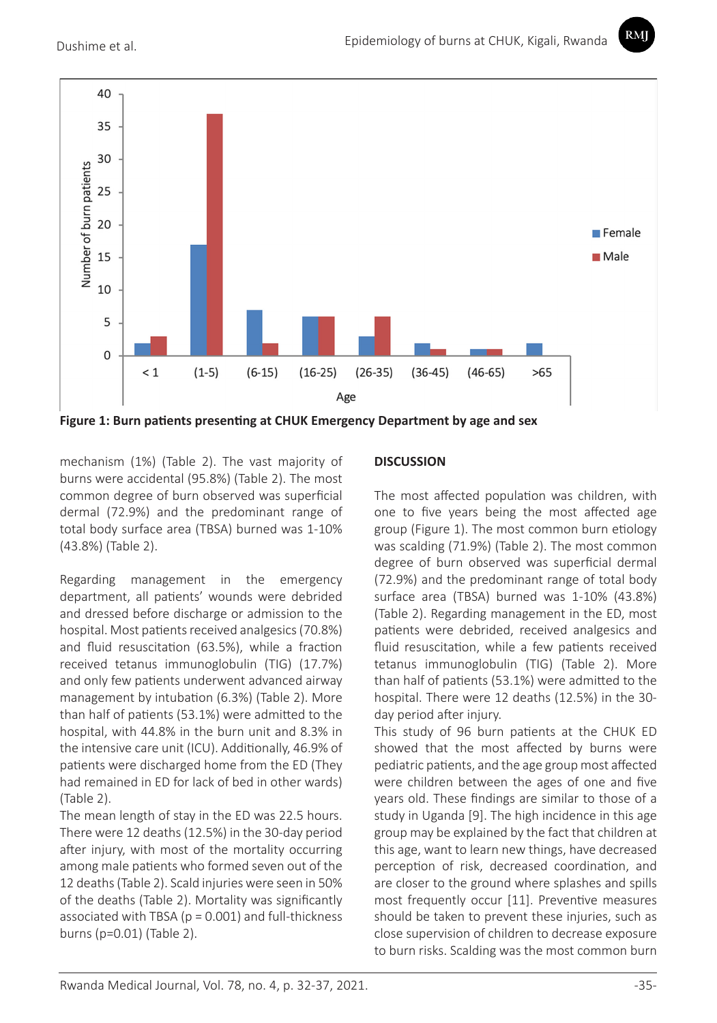RMI



**Figure 1: Burn patients presenting at CHUK Emergency Department by age and sex**

mechanism (1%) (Table 2). The vast majority of burns were accidental (95.8%) (Table 2). The most common degree of burn observed was superficial dermal (72.9%) and the predominant range of total body surface area (TBSA) burned was 1-10% (43.8%) (Table 2).

Regarding management in the emergency department, all patients' wounds were debrided and dressed before discharge or admission to the hospital. Most patients received analgesics (70.8%) and fluid resuscitation (63.5%), while a fraction received tetanus immunoglobulin (TIG) (17.7%) and only few patients underwent advanced airway management by intubation (6.3%) (Table 2). More than half of patients (53.1%) were admitted to the hospital, with 44.8% in the burn unit and 8.3% in the intensive care unit (ICU). Additionally, 46.9% of patients were discharged home from the ED (They had remained in ED for lack of bed in other wards) (Table 2).

The mean length of stay in the ED was 22.5 hours. There were 12 deaths (12.5%) in the 30-day period after injury, with most of the mortality occurring among male patients who formed seven out of the 12 deaths (Table 2). Scald injuries were seen in 50% of the deaths (Table 2). Mortality was significantly associated with TBSA ( $p = 0.001$ ) and full-thickness burns (p=0.01) (Table 2).

## **DISCUSSION**

The most affected population was children, with one to five years being the most affected age group (Figure 1). The most common burn etiology was scalding (71.9%) (Table 2). The most common degree of burn observed was superficial dermal (72.9%) and the predominant range of total body surface area (TBSA) burned was 1-10% (43.8%) (Table 2). Regarding management in the ED, most patients were debrided, received analgesics and fluid resuscitation, while a few patients received tetanus immunoglobulin (TIG) (Table 2). More than half of patients (53.1%) were admitted to the hospital. There were 12 deaths (12.5%) in the 30 day period after injury.

This study of 96 burn patients at the CHUK ED showed that the most affected by burns were pediatric patients, and the age group most affected were children between the ages of one and five years old. These findings are similar to those of a study in Uganda [9]. The high incidence in this age group may be explained by the fact that children at this age, want to learn new things, have decreased perception of risk, decreased coordination, and are closer to the ground where splashes and spills most frequently occur [11]. Preventive measures should be taken to prevent these injuries, such as close supervision of children to decrease exposure to burn risks. Scalding was the most common burn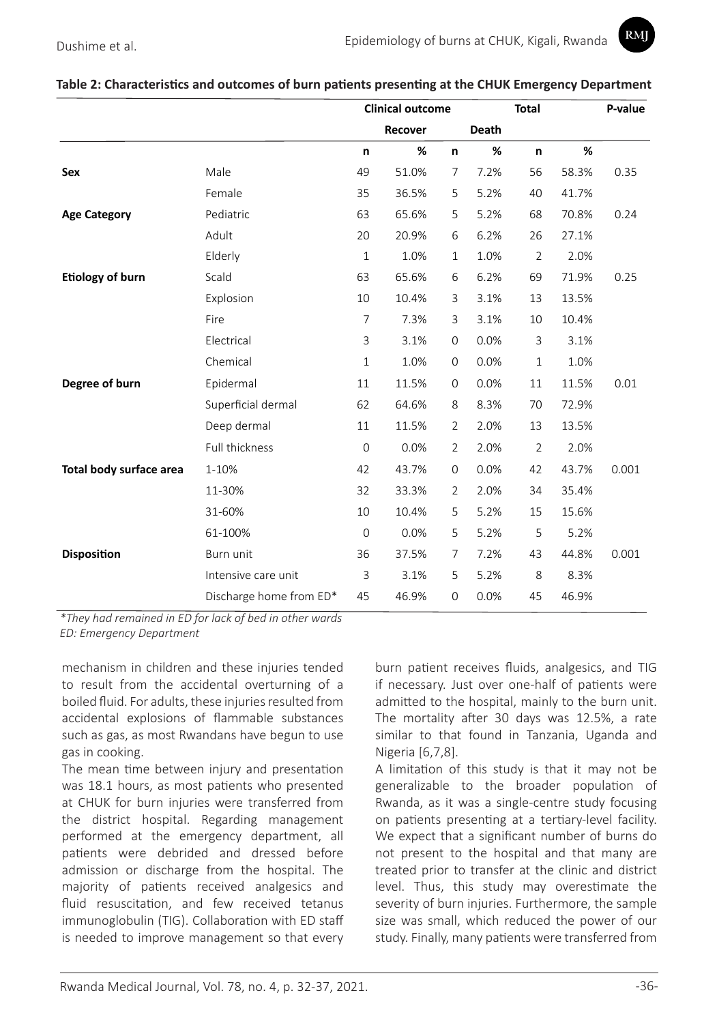| Table 2: Characteristics and outcomes of burn patients presenting at the CHUK Emergency Department |  |  |
|----------------------------------------------------------------------------------------------------|--|--|
|----------------------------------------------------------------------------------------------------|--|--|

|                         |                         | <b>Clinical outcome</b> |         |                     | <b>Total</b> |                | P-value |       |
|-------------------------|-------------------------|-------------------------|---------|---------------------|--------------|----------------|---------|-------|
|                         |                         |                         | Recover |                     | Death        |                |         |       |
|                         |                         | n                       | %       | n                   | %            | n              | %       |       |
| Sex                     | Male                    | 49                      | 51.0%   | $\overline{7}$      | 7.2%         | 56             | 58.3%   | 0.35  |
|                         | Female                  | 35                      | 36.5%   | 5                   | 5.2%         | 40             | 41.7%   |       |
| <b>Age Category</b>     | Pediatric               | 63                      | 65.6%   | 5                   | 5.2%         | 68             | 70.8%   | 0.24  |
|                         | Adult                   | 20                      | 20.9%   | 6                   | 6.2%         | 26             | 27.1%   |       |
|                         | Elderly                 | $\mathbf{1}$            | 1.0%    | $\mathbf{1}$        | 1.0%         | $\overline{2}$ | 2.0%    |       |
| <b>Etiology of burn</b> | Scald                   | 63                      | 65.6%   | 6                   | 6.2%         | 69             | 71.9%   | 0.25  |
|                         | Explosion               | 10                      | 10.4%   | 3                   | 3.1%         | 13             | 13.5%   |       |
|                         | Fire                    | $\overline{7}$          | 7.3%    | 3                   | 3.1%         | 10             | 10.4%   |       |
|                         | Electrical              | 3                       | 3.1%    | 0                   | 0.0%         | 3              | 3.1%    |       |
|                         | Chemical                | $\mathbf{1}$            | 1.0%    | 0                   | 0.0%         | $\,1\,$        | 1.0%    |       |
| Degree of burn          | Epidermal               | 11                      | 11.5%   | $\mathsf{O}\xspace$ | 0.0%         | 11             | 11.5%   | 0.01  |
|                         | Superficial dermal      | 62                      | 64.6%   | 8                   | 8.3%         | 70             | 72.9%   |       |
|                         | Deep dermal             | 11                      | 11.5%   | $\overline{2}$      | 2.0%         | 13             | 13.5%   |       |
|                         | Full thickness          | $\mathbf 0$             | 0.0%    | $\overline{2}$      | 2.0%         | $\overline{2}$ | 2.0%    |       |
| Total body surface area | 1-10%                   | 42                      | 43.7%   | $\mathbf{0}$        | 0.0%         | 42             | 43.7%   | 0.001 |
|                         | 11-30%                  | 32                      | 33.3%   | 2                   | 2.0%         | 34             | 35.4%   |       |
|                         | 31-60%                  | 10                      | 10.4%   | 5                   | 5.2%         | 15             | 15.6%   |       |
|                         | 61-100%                 | $\mathbf 0$             | 0.0%    | 5                   | 5.2%         | 5              | 5.2%    |       |
| <b>Disposition</b>      | Burn unit               | 36                      | 37.5%   | 7                   | 7.2%         | 43             | 44.8%   | 0.001 |
|                         | Intensive care unit     | 3                       | 3.1%    | 5                   | 5.2%         | 8              | 8.3%    |       |
|                         | Discharge home from ED* | 45                      | 46.9%   | 0                   | 0.0%         | 45             | 46.9%   |       |

*\*They had remained in ED for lack of bed in other wards ED: Emergency Department*

mechanism in children and these injuries tended to result from the accidental overturning of a boiled fluid. For adults, these injuries resulted from accidental explosions of flammable substances such as gas, as most Rwandans have begun to use gas in cooking.

The mean time between injury and presentation was 18.1 hours, as most patients who presented at CHUK for burn injuries were transferred from the district hospital. Regarding management performed at the emergency department, all patients were debrided and dressed before admission or discharge from the hospital. The majority of patients received analgesics and fluid resuscitation, and few received tetanus immunoglobulin (TIG). Collaboration with ED staff is needed to improve management so that every burn patient receives fluids, analgesics, and TIG if necessary. Just over one-half of patients were admitted to the hospital, mainly to the burn unit. The mortality after 30 days was 12.5%, a rate similar to that found in Tanzania, Uganda and Nigeria [6,7,8].

A limitation of this study is that it may not be generalizable to the broader population of Rwanda, as it was a single-centre study focusing on patients presenting at a tertiary-level facility. We expect that a significant number of burns do not present to the hospital and that many are treated prior to transfer at the clinic and district level. Thus, this study may overestimate the severity of burn injuries. Furthermore, the sample size was small, which reduced the power of our study. Finally, many patients were transferred from